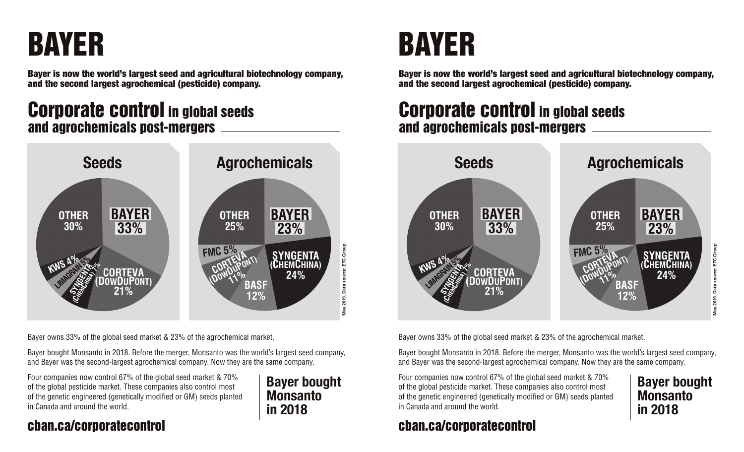# BAYER

Bayer is now the world's largest seed and agricultural biotechnology company, and the second largest agrochemical (pesticide) company.

## Corporate control in global seeds and agrochemicals post-mergers



Bayer owns 33% of the global seed market & 23% of the agrochemical market.

Bayer bought Monsanto in 2018. Before the merger, Monsanto was the world's largest seed company, and Bayer was the second-largest agrochemical company. Now they are the same company.

Four companies now control 67% of the global seed market & 70% of the global pesticide market. These companies also control most of the genetic engineered (genetically modified or GM) seeds planted in Canada and around the world.

#### **Bayer bought Monsanto in 2018**

### cban.ca/corporatecontrol

# BAYER

Bayer is now the world's largest seed and agricultural biotechnology company, and the second largest agrochemical (pesticide) company.

## Corporate control in global seeds and agrochemicals post-mergers



Bayer owns 33% of the global seed market & 23% of the agrochemical market.

Bayer bought Monsanto in 2018. Before the merger, Monsanto was the world's largest seed company, and Bayer was the second-largest agrochemical company. Now they are the same company.

Four companies now control 67% of the global seed market & 70% of the global pesticide market. These companies also control most of the genetic engineered (genetically modified or GM) seeds planted in Canada and around the world.

## cban.ca/corporatecontrol

**Bayer bought** 

**Monsanto** 

**in 2018**